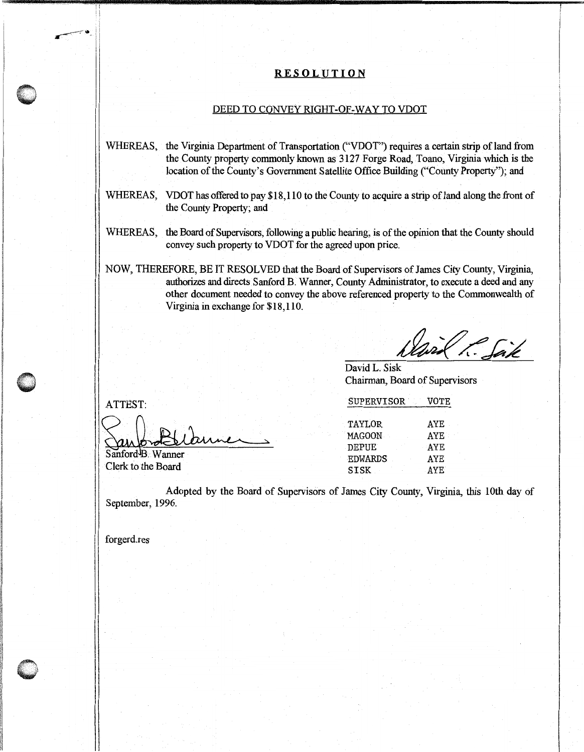## **RE SOL UT ION**

## DEED TO CONVEY RIGHT-OF-WAY TO VDOT

- WHEREAS, the Virginia Department of Transportation ("VDOT") requires a certain strip of land from the County property commonly known as 3127 Forge Road, Toano, Virginia which is the location of the County's Government Satellite Office Building ("County Property"); and
- WHEREAS, VDOT has offered to pay \$18,110 to the County to acquire a strip of land along the front of the County Property; and
- WHEREAS, the Board of Supervisors, following a public hearing, is of the opinion that the County should convey such property to VDOT for the agreed upon price.
- NOW, THEREFORE, BE IT RESOLVED that the Board of Supervisors of James City County, Virginia, authorizes and directs Sanford B. Wanner, County Administrator, to execute a deed and any other document needed to convey the above referenced property to the Commonwealth of Virginia in exchange for \$18,110.

avil P. Saik

David L. Sisk Chairman, Board of Supervisors

ATTEST: SUPERVISOR VOTE

| AYE        |
|------------|
| AYE        |
| AYE        |
| AYE        |
| <b>AYE</b> |
|            |

Adopted by the Board of Supervisors of James City County, Virginia, this 10th day of September, 1996.

forgerd.res

Clerk to the Board

Sanford<sup>B</sup>. Wanner